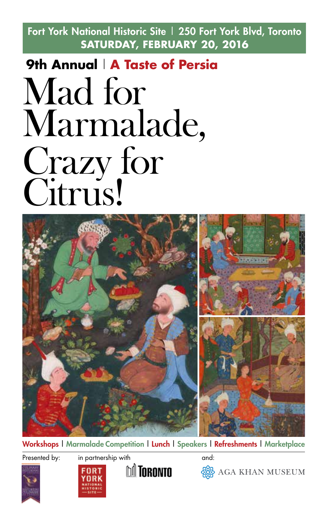Fort York National Historic Site | 250 Fort York Blvd, Toronto **SATURDAY, FEBRUARY 20, 2016**

# **9th Annual** | **A Taste of Persia** Mad for Marmalade, Crazy for Citrus!



Workshops | Marmalade Competition | Lunch | Speakers | Refreshments | Marketplace

Presented by: in partnership with and: example and:





<u>nii</u> Toronto



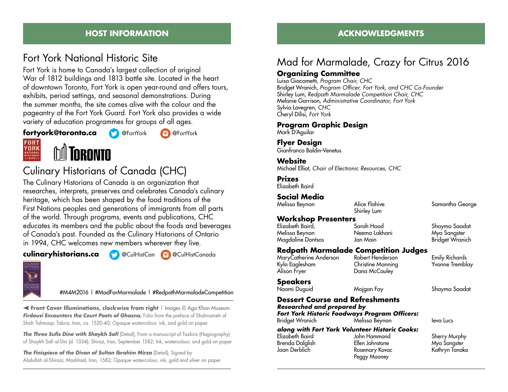## Fort York National Historic Site

Fort York is home to Canada's largest collection of original War of 1812 buildings and 1813 battle site. Located in the heart of downtown Toronto, Fort York is open year-round and offers tours, exhibits, period settings, and seasonal demonstrations. During the summer months, the site comes alive with the colour and the pageantry of the Fort York Guard. Fort York also provides a wide variety of education programmes for groups of all ages.





# Culinary Historians of Canada (CHC)

The Culinary Historians of Canada is an organization that researches, interprets, preserves and celebrates Canada's culinary heritage, which has been shaped by the food traditions of the First Nations peoples and generations of immigrants from all parts of the world. Through programs, events and publications, CHC educates its members and the public about the foods and beverages of Canada's past. Founded as the Culinary Historians of Ontario in 1994, CHC welcomes new members wherever they live.

#### **culinaryhistorians.ca C** @CulHistCan **@CulHistCanada**



#M4M2016 | #MadForMarmalade | #RedpathMarmaladeCompetition

**Front Cover Illuminations, clockwise from right** | Images © Aga Khan Museum *Firdausi Encounters the Court Poets of Ghazna,* Folio from the preface of Shahnameh of Shah Tahmasp; Tabriz, Iran, ca. 1520-40; Opaque watercolour, ink, and gold on paper

*The Three Sufis Dine with Shaykh Safi* (Detail); From a manuscript of Tazkira (Hagiography) of Shaykh Safi al-Din (d. 1334); Shiraz, Iran, September 1582; Ink, watercolour, and gold on paper

*The Finispiece of the Divan of Sultan Ibrahim Mirza* (Detail); Signed by Abdullah al-Shirazi; Mashhad, Iran, 1582; Opaque watercolour, ink, gold and silver on paper

#### **HOST INFORMATION ACKNOWLEDGMENTS**

## Mad for Marmalade, Crazy for Citrus 2016

#### **Organizing Committee**

Luisa Giacometti, *Program Chair, CHC* Bridget Wranich, *Program Officer, Fort York, and CHC Co-Founder* Shirley Lum, *Redpath Marmalade Competition Chair, CHC* Melanie Garrison, *Administrative Coordinator, Fort York* Sylvia Lovegren, *CHC* Cheryl Dilisi, *Fort York*

**Program Graphic Design** Mark D'Aguilar

**Flyer Design** Gianfranco Baldin-Venetus

#### **Website**

Michael Elliot, *Chair of Electronic Resources, CHC*

#### **Prizes**

Elizabeth Baird

#### **Social Media**

Melissa Beynon Alice Flahive Samantha George Shirley Lum

# **Workshop Presenters**

Melissa Beynon Neema Lakhani Mya Sangster Magdaline Dontsos Jan Main

Shayma Saadat

#### **Redpath Marmalade Competition Judges**

MaryCatherine Anderson Robert Henderson Emily Richards Kyla Eaglesham Christine Manning Yvonne Tremblay

Dana McCauley

#### **Speakers**

| Naomi Duguid                      | Mojgan Fay                                                                              | Shayma Saadat |
|-----------------------------------|-----------------------------------------------------------------------------------------|---------------|
| <b>Researched and prepared by</b> | <b>Dessert Course and Refreshments</b><br>Fort York Historic Foodways Program Officers: |               |
| Bridget Wranich                   | Melissa Beynon                                                                          | leva Lucs     |
|                                   | along with Fort York Volunteer Historic Cooks:                                          |               |
| Elizabeth Baird                   | John Hammond                                                                            | Sherry Murphy |
| Brenda Dalglish                   | Ellen Johnstone                                                                         | Mya Sangster  |

Peggy Mooney

Joan Derblich Rosemary Kovac Kathryn Tanaka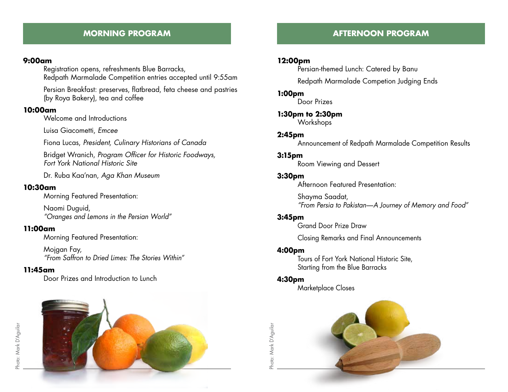#### **MORNING PROGRAM**

#### **9:00am**

Registration opens, refreshments Blue Barracks, Redpath Marmalade Competition entries accepted until 9:55am

Persian Breakfast: preserves, flatbread, feta cheese and pastries (by Roya Bakery), tea and coffee

#### **10:00am**

Welcome and Introductions

Luisa Giacometti, *Emcee*

Fiona Lucas, *President, Culinary Historians of Canada*

Bridget Wranich, *Program Officer for Historic Foodways, Fort York National Historic Site*

Dr. Ruba Kaa'nan, *Aga Khan Museum*

#### **10:30am**

Morning Featured Presentation:

Naomi Duguid, *"Oranges and Lemons in the Persian World"*

#### **11:00am**

Morning Featured Presentation:

Mojgan Fay, *"From Saffron to Dried Limes: The Stories Within"*

#### **11:45am**

Door Prizes and Introduction to Lunch



# **12:00pm** Persian-themed Lunch: Catered by Banu Redpath Marmalade Competion Judging Ends Door Prizes **1:30pm to 2:30pm** Workshops Announcement of Redpath Marmalade Competition Results **AFTERNOON PROGRAM**

#### **3:15pm**

**2:45pm**

**1:00pm**

Room Viewing and Dessert

#### **3:30pm**

Afternoon Featured Presentation:

Shayma Saadat, *"From Persia to Pakistan—A Journey of Memory and Food"*

#### **3:45pm**

Grand Door Prize Draw

Closing Remarks and Final Announcements

#### **4:00pm**

Tours of Fort York National Historic Site, Starting from the Blue Barracks

#### **4:30pm**

Photo: Mark D'Aguilar

Photo: Mark D'Aguilar

Marketplace Closes

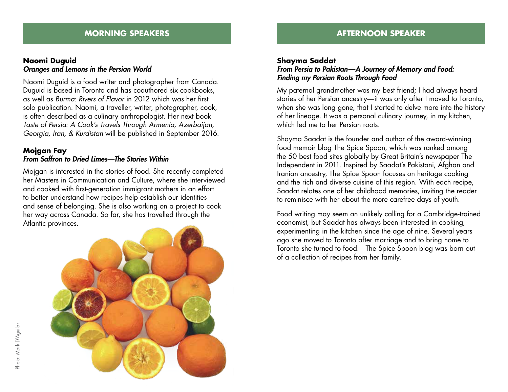#### **Naomi Duguid** *Oranges and Lemons in the Persian World*

Naomi Duguid is a food writer and photographer from Canada. Duguid is based in Toronto and has coauthored six cookbooks, as well as *Burma: Rivers of Flavor* in 2012 which was her first solo publication. Naomi, a traveller, writer, photographer, cook, is often described as a culinary anthropologist. Her next book *Taste of Persia: A Cook's Travels Through Armenia, Azerbaijan, Georgia, Iran, & Kurdistan* will be published in September 2016.

#### **Mojgan Fay** *From Saffron to Dried Limes—The Stories Within*

Mojgan is interested in the stories of food. She recently completed her Masters in Communication and Culture, where she interviewed and cooked with first-generation immigrant mothers in an effort to better understand how recipes help establish our identities and sense of belonging. She is also working on a project to cook her way across Canada. So far, she has travelled through the Atlantic provinces.



#### **Shayma Saddat**

#### *From Persia to Pakistan—A Journey of Memory and Food: Finding my Persian Roots Through Food*

My paternal grandmother was my best friend; I had always heard stories of her Persian ancestry—it was only after I moved to Toronto, when she was long gone, that I started to delve more into the history of her lineage. It was a personal culinary journey, in my kitchen, which led me to her Persian roots.

Shayma Saadat is the founder and author of the award-winning food memoir blog The Spice Spoon, which was ranked among the 50 best food sites globally by Great Britain's newspaper The Independent in 2011. Inspired by Saadat's Pakistani, Afghan and Iranian ancestry, The Spice Spoon focuses on heritage cooking and the rich and diverse cuisine of this region. With each recipe, Saadat relates one of her childhood memories, inviting the reader to reminisce with her about the more carefree days of youth.

Food writing may seem an unlikely calling for a Cambridge-trained economist, but Saadat has always been interested in cooking, experimenting in the kitchen since the age of nine. Several years ago she moved to Toronto after marriage and to bring home to Toronto she turned to food. The Spice Spoon blog was born out of a collection of recipes from her family.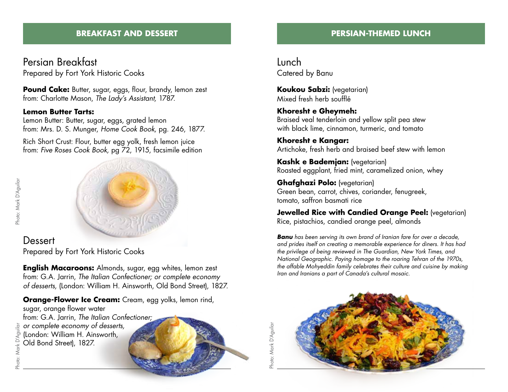#### **BREAKFAST AND DESSERT**

Persian Breakfast Prepared by Fort York Historic Cooks

Pound Cake: Butter, sugar, eggs, flour, brandy, lemon zest from: Charlotte Mason, *The Lady's Assistant,* 1787.

#### **Lemon Butter Tarts:**

Lemon Butter: Butter, sugar, eggs, grated lemon from: Mrs. D. S. Munger, *Home Cook Book,* pg. 246, 1877.

Rich Short Crust: Flour, butter egg yolk, fresh lemon juice from: *Five Roses Cook Book,* pg 72, 1915, facsimile edition



# **Dessert**

Prepared by Fort York Historic Cooks

**English Macaroons:** Almonds, sugar, egg whites, lemon zest from: G.A. Jarrin, *The Italian Confectioner; or complete economy of desserts,* (London: William H. Ainsworth, Old Bond Street), 1827.

**Orange-Flower Ice Cream:** Cream, egg yolks, lemon rind, sugar, orange flower water

from: G.A. Jarrin, *The Italian Confectioner; or complete economy of desserts,* (London: William H. Ainsworth, Old Bond Street), 1827.

Photo: Mark D'AguilarPhoto: Mark D'Aguilar

#### **PERSIAN-THEMED LUNCH**

Lunch Catered by Banu

**Koukou Sabzi:** (vegetarian) Mixed fresh herb soufflé

**Khoresht e Gheymeh:** Braised veal tenderloin and yellow split pea stew with black lime, cinnamon, turmeric, and tomato

**Khoresht e Kangar:** Artichoke, fresh herb and braised beef stew with lemon

**Kashk e Bademjan:** (vegetarian) Roasted eggplant, fried mint, caramelized onion, whey

**Ghafghazi Polo:** (vegetarian) Green bean, carrot, chives, coriander, fenugreek, tomato, saffron basmati rice

**Jewelled Rice with Candied Orange Peel: (vegetarian)** Rice, pistachios, candied orange peel, almonds

*Banu has been serving its own brand of Iranian fare for over a decade, and prides itself on creating a memorable experience for diners. It has had the privilege of being reviewed in The Guardian, New York Times, and National Geographic. Paying homage to the roaring Tehran of the 1970s, the affable Mohyeddin family celebrates their culture and cuisine by making Iran and Iranians a part of Canada's cultural mosaic.*



Photo: Mark D'Aguilar

Photo: Mark D'Aguilar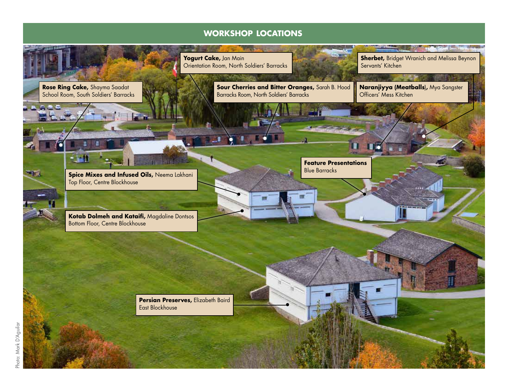#### **WORKSHOP LOCATIONS**

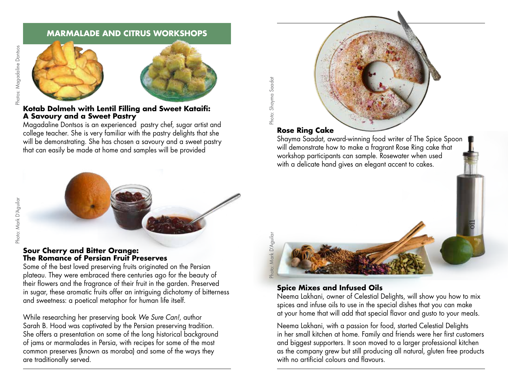#### **MARMALADE AND CITRUS WORKSHOPS**



#### **Kotab Dolmeh with Lentil Filling and Sweet Kataifi: A Savoury and a Sweet Pastry**

Magadaline Dontsos is an experienced pastry chef, sugar artist and college teacher. She is very familiar with the pastry delights that she will be demonstrating. She has chosen a savoury and a sweet pastry that can easily be made at home and samples will be provided



#### **Rose Ring Cake**

Shayma Saadat, award-winning food writer of The Spice Spoon will demonstrate how to make a fragrant Rose Ring cake that workshop participants can sample. Rosewater when used with a delicate hand gives an elegant accent to cakes.





**Sour Cherry and Bitter Orange: The Romance of Persian Fruit Preserves**

Some of the best loved preserving fruits originated on the Persian plateau. They were embraced there centuries ago for the beauty of their flowers and the fragrance of their fruit in the garden. Preserved in sugar, these aromatic fruits offer an intriguing dichotomy of bitterness and sweetness: a poetical metaphor for human life itself.

While researching her preserving book *We Sure Can!,* author Sarah B. Hood was captivated by the Persian preserving tradition. She offers a presentation on some of the long historical background of jams or marmalades in Persia, with recipes for some of the most common preserves (known as moraba) and some of the ways they are traditionally served.

oto: Mark D'Aguilar Photo: Mark D'Aguilar

Photo: Shayma Saadat

Photo: Shayma Saadat

#### **Spice Mixes and Infused Oils**

Neema Lakhani, owner of Celestial Delights, will show you how to mix spices and infuse oils to use in the special dishes that you can make at your home that will add that special flavor and gusto to your meals.

Neema Lakhani, with a passion for food, started Celestial Delights in her small kitchen at home. Family and friends were her first customers and biggest supporters. It soon moved to a larger professional kitchen as the company grew but still producing all natural, gluten free products with no artificial colours and flavours.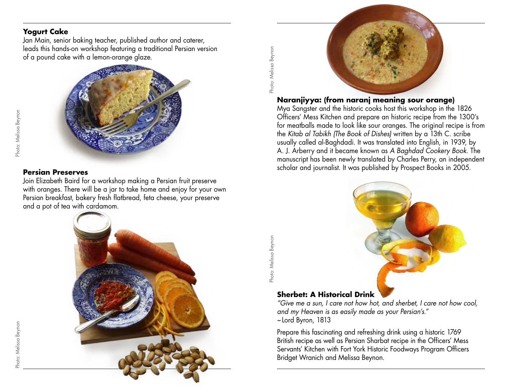#### **Yogurt Cake**

Jan Main, senior baking teacher, published author and caterer, leads this hands-on workshop featuring a traditional Persian version of a pound cake with a lemon-orange glaze.



#### **Persian Preserves**

Join Elizabeth Baird for a workshop making a Persian fruit preserve with oranges. There will be a jar to take home and enjoy for your own Persian breakfast, bakery fresh flatbread, feta cheese, your preserve and a pot of tea with cardamom.



Photo: Melissa Beynon Photo: Melissa Beynor

Photo: Melissa Beynon

Photo: Melissa Beynon



**Naranjiyya: (from naranj meaning sour orange)** 

Mya Sangster and the historic cooks host this workshop in the 1826 Officers' Mess Kitchen and prepare an historic recipe from the 1300's for meatballs made to look like sour oranges. The original recipe is from the *Kitab al Tabikh (The Book of Dishes)* written by a 13th C. scribe usually called al-Baghdadi. It was translated into English, in 1939, by A. J. Arberry and it became known as *A Baghdad Cookery Book.* The manuscript has been newly translated by Charles Perry, an independent scholar and journalist. It was published by Prospect Books in 2005.



#### **Sherbet: A Historical Drink**

*"Give me a sun, I care not how hot, and sherbet, I care not how cool, and my Heaven is as easily made as your Persian's."*  ~Lord Byron, 1813

Prepare this fascinating and refreshing drink using a historic 1769 British recipe as well as Persian Sharbat recipe in the Officers' Mess Servants' Kitchen with Fort York Historic Foodways Program Officers Bridget Wranich and Melissa Beynon.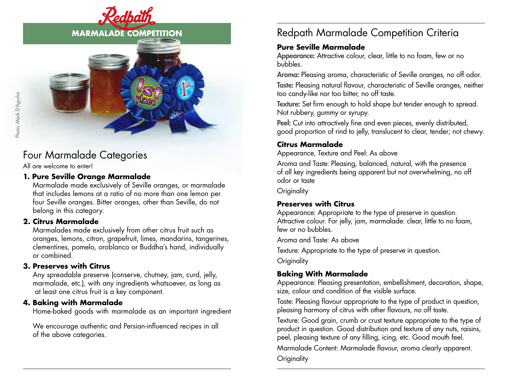

# Four Marmalade Categories

All are welcome to enter!

#### **1. Pure Seville Orange Marmalade**

 Marmalade made exclusively of Seville oranges, or marmalade that includes lemons at a ratio of no more than one lemon per four Seville oranges. Bitter oranges, other than Seville, do not belong in this category.

#### **2. Citrus Marmalade**

 Marmalades made exclusively from other citrus fruit such as oranges, lemons, citron, grapefruit, limes, mandarins, tangerines, clementines, pomelo, oroblanco or Buddha's hand, individually or combined.

#### **3. Preserves with Citrus**

 Any spreadable preserve (conserve, chutney, jam, curd, jelly, marmalade, etc.), with any ingredients whatsoever, as long as at least one citrus fruit is a key component.

#### **4. Baking with Marmalade**

Home-baked goods with marmalade as an important ingredient

 We encourage authentic and Persian-influenced recipes in all of the above categories.

# **MARMALADE COMPETITION Redpath Marmalade Competition Criteria**

### **Pure Seville Marmalade**

Appearance: Attractive colour, clear, little to no foam, few or no bubbles.

Aroma: Pleasing aroma, characteristic of Seville oranges, no off odor.

Taste: Pleasing natural flavour, characteristic of Seville oranges, neither too candy-like nor too bitter, no off taste.

Texture: Set firm enough to hold shape but tender enough to spread. Not rubbery, gummy or syrupy.

Peel: Cut into attractively fine and even pieces, evenly distributed, good proportion of rind to jelly, translucent to clear, tender; not chewy.

#### **Citrus Marmalade**

Appearance, Texture and Peel: As above

Aroma and Taste: Pleasing, balanced, natural, with the presence of all key ingredients being apparent but not overwhelming, no off odor or taste

**Originality** 

#### **Preserves with Citrus**

Appearance: Appropriate to the type of preserve in question. Attractive colour. For jelly, jam, marmalade: clear, little to no foam, few or no bubbles

Aroma and Taste: As above

Texture: Appropriate to the type of preserve in question.

**Originality** 

### **Baking With Marmalade**

Appearance: Pleasing presentation, embellishment, decoration, shape, size, colour and condition of the visible surface.

Taste: Pleasing flavour appropriate to the type of product in question, pleasing harmony of citrus with other flavours, no off taste.

Texture: Good grain, crumb or crust texture appropriate to the type of product in question. Good distribution and texture of any nuts, raisins, peel, pleasing texture of any filling, icing, etc. Good mouth feel.

Marmalade Content: Marmalade flavour, aroma clearly apparent.

**Originality**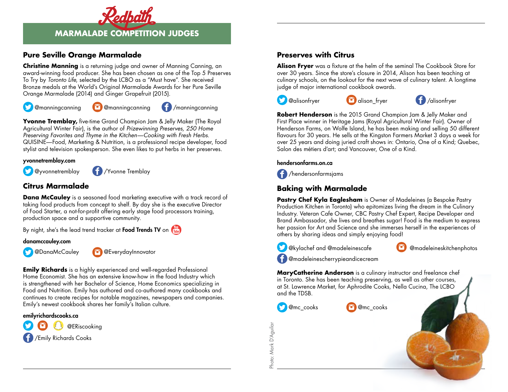

#### **MARMALADE COMPETITION JUDGES**

#### **Pure Seville Orange Marmalade**

**Christine Manning** is a returning judge and owner of Manning Canning, an award-winning food producer. She has been chosen as one of the Top 5 Preserves To Try by *Toronto Life*, selected by the LCBO as a "Must have". She received Bronze medals at the World's Original Marmalade Awards for her Pure Seville Orange Marmalade (2014) and Ginger Grapefruit (2015).

**@manningcanning (\*\*** @manningcanning (\* /manningcanning

**Yvonne Tremblay,** five-time Grand Champion Jam & Jelly Maker (The Royal Agricultural Winter Fair), is the author of *Prizewinning Preserves, 250 Home Preserving Favorites and Thyme in the Kitchen—Cooking with Fresh Herbs*. QUISINE—Food, Marketing & Nutrition, is a professional recipe developer, food stylist and television spokesperson. She even likes to put herbs in her preserves.

#### yvonnetremblay.com

**CO** @yvonnetremblay **CO** /Yvonne Tremblay

#### **Citrus Marmalade**

**Dana McCauley** is a seasoned food marketing executive with a track record of taking food products from concept to shelf. By day she is the executive Director of Food Starter, a not-for-profit offering early stage food processors training, production space and a supportive community.

By night, she's the lead trend tracker at **Food Trends TV** on  $\frac{1}{\text{Table}}$ 

#### danamccauley.com

@DanaMcCauley @EverydayInnovator

**Emily Richards** is a highly experienced and well-regarded Professional Home Economist. She has an extensive know-how in the food Industry which is strengthened with her Bachelor of Science, Home Economics specializing in Food and Nutrition. Emily has authored and co-authored many cookbooks and continues to create recipes for notable magazines, newspapers and companies. Emily's newest cookbook shares her family's Italian culture.

emilyrichardscooks.ca

@ERiscooking



#### **Preserves with Citrus**

**Alison Fryer** was a fixture at the helm of the seminal The Cookbook Store for over 30 years. Since the store's closure in 2014, Alison has been teaching at culinary schools, on the lookout for the next wave of culinary talent. A longtime judge of major international cookbook awards.







**Robert Henderson** is the 2015 Grand Champion Jam & Jelly Maker and First Place winner in Heritage Jams (Royal Agricultural Winter Fair). Owner of Henderson Farms, on Wolfe Island, he has been making and selling 50 different flavours for 30 years. He sells at the Kingston Farmers Market 3 days a week for over 25 years and doing juried craft shows in: Ontario, One of a Kind; Quebec, Salon des métiers d'art; and Vancouver, One of a Kind.

#### hendersonfarms.on.ca



#### **Baking with Marmalade**

**Pastry Chef Kyla Eaglesham** is Owner of Madeleines (a Bespoke Pastry Production Kitchen in Toronto) who epitomizes living the dream in the Culinary Industry. Veteran Cafe Owner, CBC Pastry Chef Expert, Recipe Developer and Brand Ambassador, she lives and breathes sugar! Food is the medium to express her passion for Art and Science and she immerses herself in the experiences of others by sharing ideas and simply enjoying food!





@madeleinescherrypieandicecream

**MaryCatherine Anderson** is a culinary instructor and freelance chef in Toronto. She has been teaching preserving, as well as other courses, at St. Lawrence Market, for Aphrodite Cooks, Nella Cucina, The LCBO and the TDSB.



@mc\_cooks @mc\_cooks

Photo: Mark D'AguilarPhoto: Mark D'Aguilar